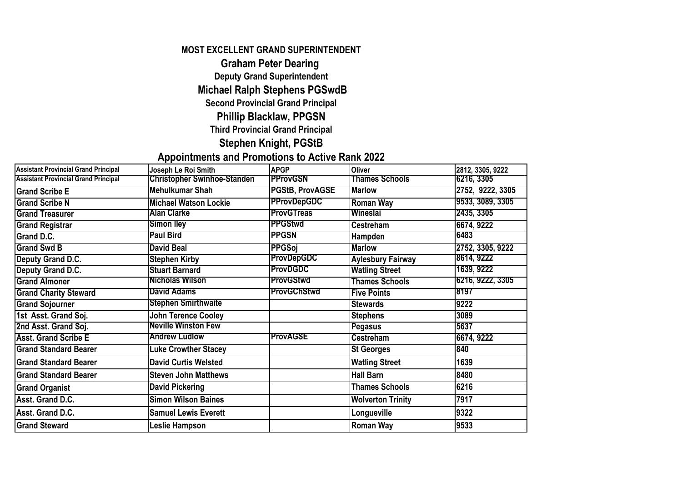#### **MOST EXCELLENT GRAND SUPERINTENDENT**

### **Graham Peter Dearing**

**Deputy Grand Superintendent**

## **Michael Ralph Stephens PGSwdB**

**Second Provincial Grand Principal**

## **Phillip Blacklaw, PPGSN**

#### **Third Provincial Grand Principal**

**Stephen Knight, PGStB**

## **Appointments and Promotions to Active Rank 2022**

| <b>Assistant Provincial Grand Principal</b> | Joseph Le Roi Smith                | <b>APGP</b>            | <b>Oliver</b>            | 2812, 3305, 9222 |
|---------------------------------------------|------------------------------------|------------------------|--------------------------|------------------|
| <b>Assistant Provincial Grand Principal</b> | <b>Christopher Swinhoe-Standen</b> | <b>PProvGSN</b>        | <b>Thames Schools</b>    | 6216, 3305       |
| <b>Grand Scribe E</b>                       | <b>Mehulkumar Shah</b>             | <b>PGStB, ProvAGSE</b> | <b>Marlow</b>            | 2752, 9222, 3305 |
| <b>Grand Scribe N</b>                       | <b>Michael Watson Lockie</b>       | <b>PProvDepGDC</b>     | <b>Roman Way</b>         | 9533, 3089, 3305 |
| <b>Grand Treasurer</b>                      | <b>Alan Clarke</b>                 | <b>ProvGTreas</b>      | Wineslai                 | 2435, 3305       |
| <b>Grand Registrar</b>                      | <b>Simon lley</b>                  | <b>PPGStwd</b>         | <b>Cestreham</b>         | 6674, 9222       |
| Grand D.C.                                  | <b>Paul Bird</b>                   | <b>PPGSN</b>           | Hampden                  | 6483             |
| <b>Grand Swd B</b>                          | <b>David Beal</b>                  | <b>PPGSoi</b>          | <b>Marlow</b>            | 2752, 3305, 9222 |
| <b>Deputy Grand D.C.</b>                    | <b>Stephen Kirby</b>               | <b>ProvDepGDC</b>      | <b>Aylesbury Fairway</b> | 8614, 9222       |
| <b>Deputy Grand D.C.</b>                    | <b>Stuart Barnard</b>              | <b>ProvDGDC</b>        | <b>Watling Street</b>    | 1639, 9222       |
| <b>Grand Almoner</b>                        | <b>Nicholas Wilson</b>             | <b>ProvGStwd</b>       | <b>Thames Schools</b>    | 6216, 9222, 3305 |
| <b>Grand Charity Steward</b>                | <b>David Adams</b>                 | <b>ProvGChStwd</b>     | <b>Five Points</b>       | 8197             |
| <b>Grand Sojourner</b>                      | <b>Stephen Smirthwaite</b>         |                        | <b>Stewards</b>          | 9222             |
| 1st Asst. Grand Soj.                        | <b>John Terence Cooley</b>         |                        | <b>Stephens</b>          | 3089             |
| 2nd Asst. Grand Soj.                        | <b>Neville Winston Few</b>         |                        | Pegasus                  | 5637             |
| <b>Asst. Grand Scribe E</b>                 | <b>Andrew Ludlow</b>               | <b>ProvAGSE</b>        | <b>Cestreham</b>         | 6674, 9222       |
| <b>Grand Standard Bearer</b>                | <b>Luke Crowther Stacey</b>        |                        | <b>St Georges</b>        | 840              |
| <b>Grand Standard Bearer</b>                | <b>David Curtis Welsted</b>        |                        | <b>Watling Street</b>    | 1639             |
| <b>Grand Standard Bearer</b>                | <b>Steven John Matthews</b>        |                        | <b>Hall Barn</b>         | 8480             |
| <b>Grand Organist</b>                       | <b>David Pickering</b>             |                        | <b>Thames Schools</b>    | 6216             |
| Asst. Grand D.C.                            | <b>Simon Wilson Baines</b>         |                        | <b>Wolverton Trinity</b> | 7917             |
| Asst. Grand D.C.                            | <b>Samuel Lewis Everett</b>        |                        | Longueville              | 9322             |
| <b>Grand Steward</b>                        | Leslie Hampson                     |                        | Roman Way                | 9533             |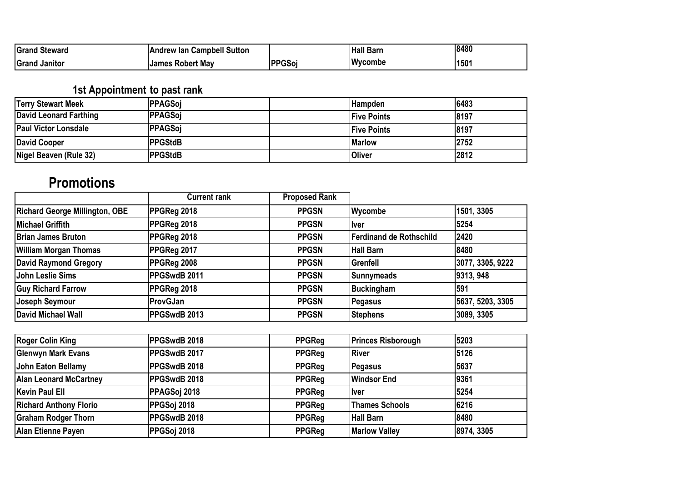| Grand<br><b>Steward</b>    | <b>Campbell Sutton</b><br>An<br>' lan |                             | <sup>ा</sup> Barn<br><b>Hall</b> | 8480 |
|----------------------------|---------------------------------------|-----------------------------|----------------------------------|------|
| <b>IGrano</b><br>. Janıtor | <b>Robert May</b><br><b>James</b>     | $\ddot{\phantom{0}}$<br>სას | <b>Wycombe</b>                   | 1501 |

## **1st Appointment to past rank**

| <b>Terry Stewart Meek</b>   | <b>PPAGSoi</b>  | lHampden            | 6483 |
|-----------------------------|-----------------|---------------------|------|
| David Leonard Farthing      | PPAGSoi         | <b>IFive Points</b> | 8197 |
| <b>Paul Victor Lonsdale</b> | PPAGSoi         | <b>IFive Points</b> | 8197 |
| David Cooper                | <b>IPPGStdB</b> | <b>Marlow</b>       | 2752 |
| Nigel Beaven (Rule 32)      | <b>IPPGStdB</b> | <b>Oliver</b>       | 2812 |

# **Promotions**

|                                       | <b>Current rank</b> | <b>Proposed Rank</b> |                          |                  |
|---------------------------------------|---------------------|----------------------|--------------------------|------------------|
| <b>Richard George Millington, OBE</b> | PPGReg 2018         | <b>PPGSN</b>         | <b>Wycombe</b>           | 1501, 3305       |
| Michael Griffith                      | PPGReg 2018         | <b>PPGSN</b>         | llver                    | 5254             |
| <b>Brian James Bruton</b>             | PPGReg 2018         | <b>PPGSN</b>         | lFerdinand de Rothschild | 2420             |
| <b>William Morgan Thomas</b>          | PPGReg 2017         | <b>PPGSN</b>         | Hall Barn                | 8480             |
| <b>David Raymond Gregory</b>          | PPGReg 2008         | <b>PPGSN</b>         | <b>IGrenfell</b>         | 3077, 3305, 9222 |
| John Leslie Sims                      | PPGSwdB 2011        | <b>PPGSN</b>         | Sunnymeads               | 9313, 948        |
| <b>Guy Richard Farrow</b>             | PPGReg 2018         | <b>PPGSN</b>         | Buckingham               | 591              |
| Joseph Seymour                        | ProvGJan            | <b>PPGSN</b>         | <b>Pegasus</b>           | 5637, 5203, 3305 |
| David Michael Wall                    | PPGSwdB 2013        | <b>PPGSN</b>         | <b>Stephens</b>          | 3089, 3305       |

| <b>Roger Colin King</b>       | PPGSwdB 2018 | <b>PPGReg</b> | <b>Princes Risborough</b> | 5203       |
|-------------------------------|--------------|---------------|---------------------------|------------|
| <b>Glenwyn Mark Evans</b>     | PPGSwdB 2017 | <b>PPGReg</b> | <b>IRiver</b>             | 5126       |
| John Eaton Bellamy            | PPGSwdB 2018 | <b>PPGReg</b> | Pegasus                   | 5637       |
| <b>Alan Leonard McCartney</b> | PPGSwdB 2018 | <b>PPGReg</b> | <b>Windsor End</b>        | 9361       |
| Kevin Paul Ell                | PPAGSoj 2018 | <b>PPGReg</b> | <b>Ilver</b>              | 5254       |
| <b>Richard Anthony Florio</b> | PPGSoj 2018  | <b>PPGReg</b> | <b>Thames Schools</b>     | 6216       |
| <b>Graham Rodger Thorn</b>    | PPGSwdB 2018 | <b>PPGReg</b> | <b>Hall Barn</b>          | 8480       |
| Alan Etienne Payen            | PPGSoj 2018  | <b>PPGReg</b> | <b>Marlow Valley</b>      | 8974, 3305 |